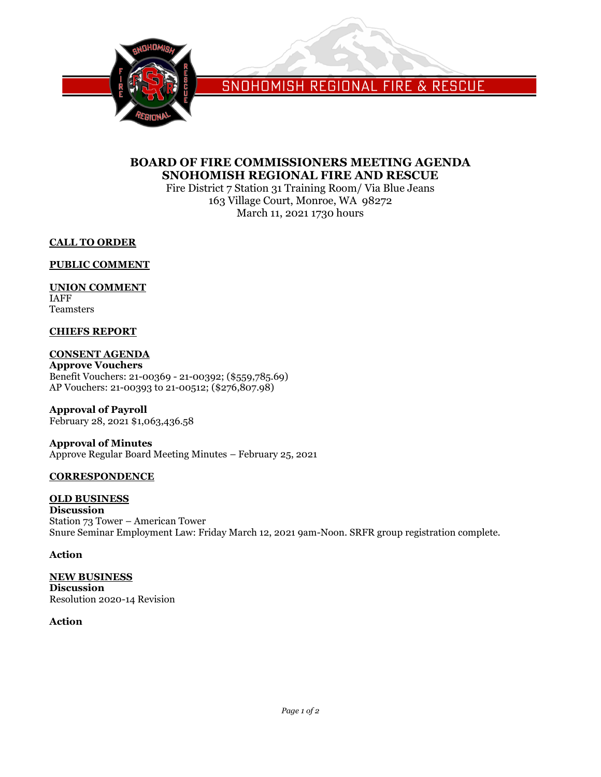

SNOHOMISH REGIONAL FIRE & RESCUE

## **BOARD OF FIRE COMMISSIONERS MEETING AGENDA SNOHOMISH REGIONAL FIRE AND RESCUE**

Fire District 7 Station 31 Training Room/ Via Blue Jeans 163 Village Court, Monroe, WA 98272 March 11, 2021 1730 hours

**CALL TO ORDER**

**PUBLIC COMMENT**

## **UNION COMMENT**

IAFF Teamsters

## **CHIEFS REPORT**

## **CONSENT AGENDA**

**Approve Vouchers** Benefit Vouchers: 21-00369 - 21-00392; (\$559,785.69) AP Vouchers: 21-00393 to 21-00512; (\$276,807.98)

**Approval of Payroll** February 28, 2021 \$1,063,436.58

### **Approval of Minutes** Approve Regular Board Meeting Minutes – February 25, 2021

### **CORRESPONDENCE**

**OLD BUSINESS** 

**Discussion** Station 73 Tower – American Tower Snure Seminar Employment Law: Friday March 12, 2021 9am-Noon. SRFR group registration complete.

### **Action**

**NEW BUSINESS Discussion** Resolution 2020-14 Revision

### **Action**